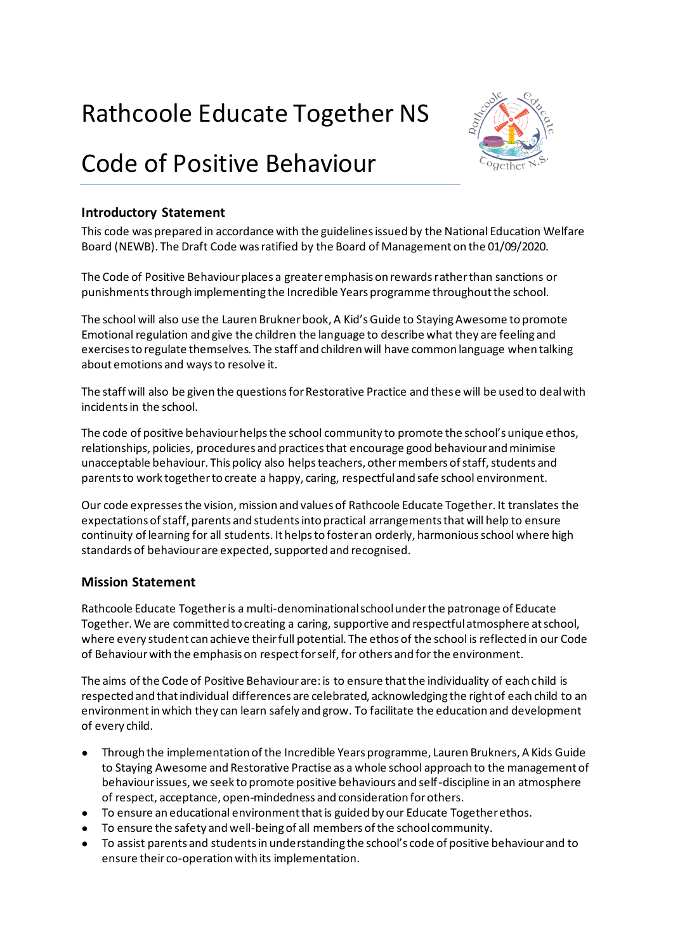# Rathcoole Educate Together NS

# Code of Positive Behaviour



## **Introductory Statement**

This code was prepared in accordance with the guidelines issued by the National Education Welfare Board (NEWB). The Draft Code was ratified by the Board of Management on the 01/09/2020.

The Code of Positive Behaviour places a greater emphasis on rewards rather than sanctions or punishments through implementing the Incredible Years programme throughout the school.

The school will also use the Lauren Brukner book, A Kid's Guide to Staying Awesome to promote Emotional regulation and give the children the language to describe what they are feeling and exercises to regulate themselves. The staff and children will have common language when talking about emotions and ways to resolve it.

The staff will also be given the questions for Restorative Practice and these will be used to deal with incidents in the school.

The code of positive behaviour helps the school community to promote the school's unique ethos, relationships, policies, procedures and practices that encourage good behaviour and minimise unacceptable behaviour. This policy also helps teachers, other members of staff, students and parents to work together to create a happy, caring, respectful and safe school environment.

Our code expresses the vision, mission and values of Rathcoole Educate Together. It translates the expectations of staff, parents and students into practical arrangements that will help to ensure continuity of learning for all students. It helps to foster an orderly, harmonious school where high standards of behaviour are expected, supported and recognised.

## **Mission Statement**

Rathcoole Educate Together is a multi-denominational school under the patronage of Educate Together. We are committed to creating a caring, supportive and respectful atmosphere at school, where every student can achieve their full potential. The ethos of the school is reflected in our Code of Behaviour with the emphasis on respect for self, for others and for the environment.

The aims of the Code of Positive Behaviour are: is to ensure that the individuality of each child is respected and that individual differences are celebrated, acknowledging the right of each child to an environment in which they can learn safely and grow. To facilitate the education and development of every child.

- Through the implementation of the Incredible Years programme, Lauren Brukners, A Kids Guide to Staying Awesome and Restorative Practise as a whole school approach to the management of behaviour issues, we seek to promote positive behaviours and self-discipline in an atmosphere of respect, acceptance, open-mindedness and consideration for others.
- To ensure an educational environment that is guided by our Educate Together ethos.
- To ensure the safety and well-being of all members of the school community.
- To assist parents and students in understanding the school's code of positive behaviour and to ensure their co-operation with its implementation.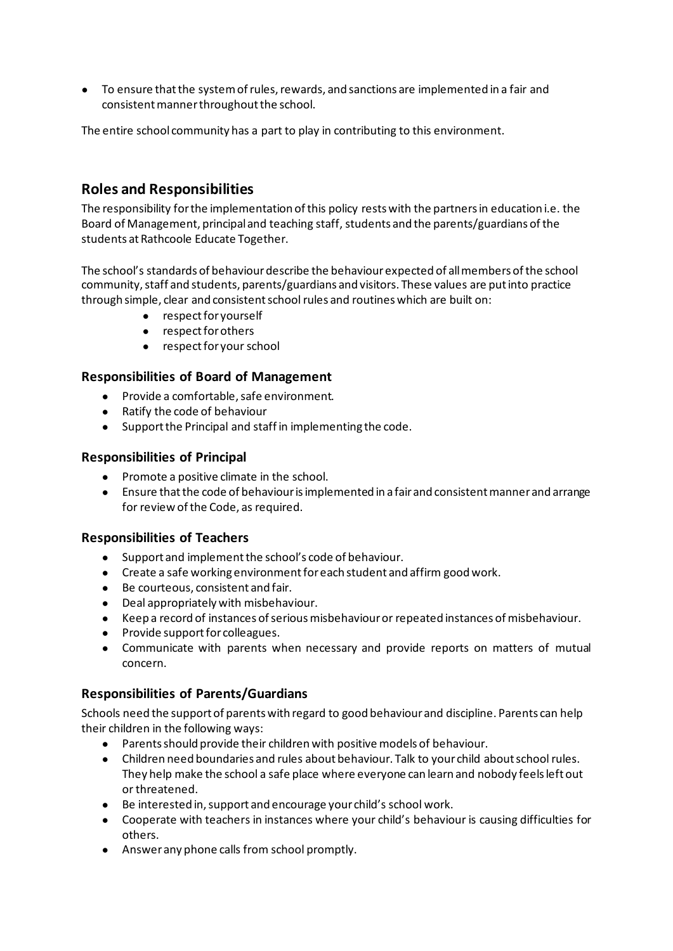● To ensure that the system of rules, rewards, and sanctions are implemented in a fair and consistent manner throughout the school.

The entire school community has a part to play in contributing to this environment.

# **Roles and Responsibilities**

The responsibility for the implementation of this policy rests with the partners in education i.e. the Board of Management, principal and teaching staff, students and the parents/guardians of the students at Rathcoole Educate Together.

The school's standards of behaviour describe the behaviour expected of all members of the school community, staff and students, parents/guardians and visitors. These values are put into practice through simple, clear and consistent school rules and routines which are built on:

- respect for yourself
- respect for others
- respect for your school

## **Responsibilities of Board of Management**

- Provide a comfortable, safe environment.
- Ratify the code of behaviour
- Support the Principal and staff in implementing the code.

## **Responsibilities of Principal**

- Promote a positive climate in the school.
- Ensure that the code of behaviour is implemented in a fair and consistent manner and arrange for review of the Code, as required.

## **Responsibilities of Teachers**

- Support and implement the school's code of behaviour.
- Create a safe working environment for each student and affirm good work.
- Be courteous, consistent and fair.
- Deal appropriately with misbehaviour.
- Keep a record of instances of serious misbehaviour or repeated instances of misbehaviour.
- Provide support for colleagues.
- Communicate with parents when necessary and provide reports on matters of mutual concern.

## **Responsibilities of Parents/Guardians**

Schools need the support of parents with regard to good behaviour and discipline. Parents can help their children in the following ways:

- Parents should provide their children with positive models of behaviour.
- Children need boundaries and rules about behaviour. Talk to your child about school rules. They help make the school a safe place where everyone can learn and nobody feels left out or threatened.
- Be interested in, support and encourage your child's school work.
- Cooperate with teachers in instances where your child's behaviour is causing difficulties for others.
- Answer any phone calls from school promptly.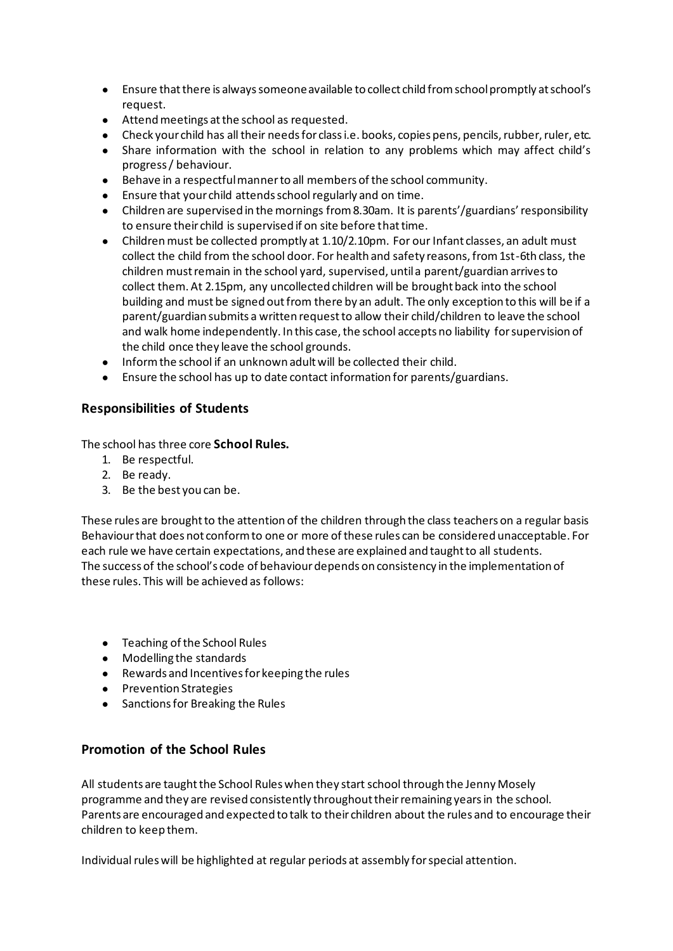- Ensure that there is always someone available to collect child from school promptly at school's request.
- Attend meetings at the school as requested.
- Check your child has all their needs for class i.e. books, copies pens, pencils, rubber, ruler, etc.
- Share information with the school in relation to any problems which may affect child's progress / behaviour.
- Behave in a respectful manner to all members of the school community.
- Ensure that your child attends school regularly and on time.
- Children are supervised in the mornings from 8.30am. It is parents'/guardians' responsibility to ensure their child is supervised if on site before that time.
- Children must be collected promptly at 1.10/2.10pm. For our Infant classes, an adult must collect the child from the school door. For health and safety reasons, from 1st-6th class, the children must remain in the school yard, supervised, until a parent/guardian arrives to collect them. At 2.15pm, any uncollected children will be brought back into the school building and must be signed out from there by an adult. The only exception to this will be if a parent/guardian submits a written request to allow their child/children to leave the school and walk home independently. In this case, the school accepts no liability for supervision of the child once they leave the school grounds.
- Inform the school if an unknown adult will be collected their child.
- Ensure the school has up to date contact information for parents/guardians.

## **Responsibilities of Students**

The school has three core **School Rules.**

- 1. Be respectful.
- 2. Be ready.
- 3. Be the best you can be.

These rules are brought to the attention of the children through the class teachers on a regular basis Behaviour that does not conform to one or more of these rules can be considered unacceptable. For each rule we have certain expectations, and these are explained and taught to all students. The success of the school's code of behaviour depends on consistency in the implementation of these rules. This will be achieved as follows:

- Teaching of the School Rules
- Modelling the standards
- Rewards and Incentives for keeping the rules
- Prevention Strategies
- Sanctions for Breaking the Rules

## **Promotion of the School Rules**

All students are taught the School Rules when they start school through the Jenny Mosely programme and they are revised consistently throughout their remaining years in the school. Parents are encouraged and expected to talk to their children about the rules and to encourage their children to keep them.

Individual rules will be highlighted at regular periods at assembly for special attention.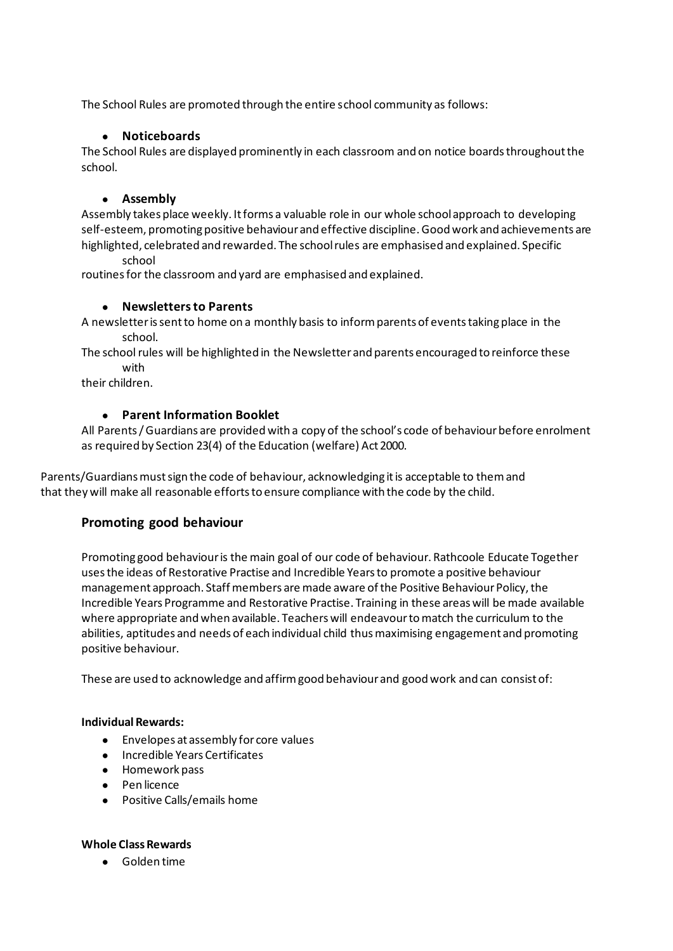The School Rules are promoted through the entire school community as follows:

## ● **Noticeboards**

The School Rules are displayed prominently in each classroom and on notice boards throughout the school.

## ● **Assembly**

Assembly takes place weekly. It forms a valuable role in our whole school approach to developing self-esteem, promoting positive behaviour and effective discipline. Good work and achievements are highlighted, celebrated and rewarded. The school rules are emphasised and explained. Specific

#### school

routines for the classroom and yard are emphasised and explained.

## ● **Newsletters to Parents**

A newsletter is sent to home on a monthly basis to inform parents of events taking place in the school.

The school rules will be highlighted in the Newsletter and parents encouraged to reinforce these with

their children.

## ● **Parent Information Booklet**

All Parents / Guardians are provided with a copy of the school's code of behaviour before enrolment as required by Section 23(4) of the Education (welfare) Act 2000.

Parents/Guardians must sign the code of behaviour, acknowledging it is acceptable to them and that they will make all reasonable efforts to ensure compliance with the code by the child.

## **Promoting good behaviour**

Promoting good behaviour is the main goal of our code of behaviour. Rathcoole Educate Together uses the ideas of Restorative Practise and Incredible Years to promote a positive behaviour management approach. Staff members are made aware of the Positive Behaviour Policy, the Incredible Years Programme and Restorative Practise. Training in these areas will be made available where appropriate and when available. Teachers will endeavour to match the curriculum to the abilities, aptitudes and needs of each individual child thus maximising engagement and promoting positive behaviour.

These are used to acknowledge and affirm good behaviour and good work and can consist of:

## **Individual Rewards:**

- Envelopes at assembly for core values
- Incredible Years Certificates
- Homework pass
- Pen licence
- Positive Calls/emails home

## **Whole Class Rewards**

● Golden time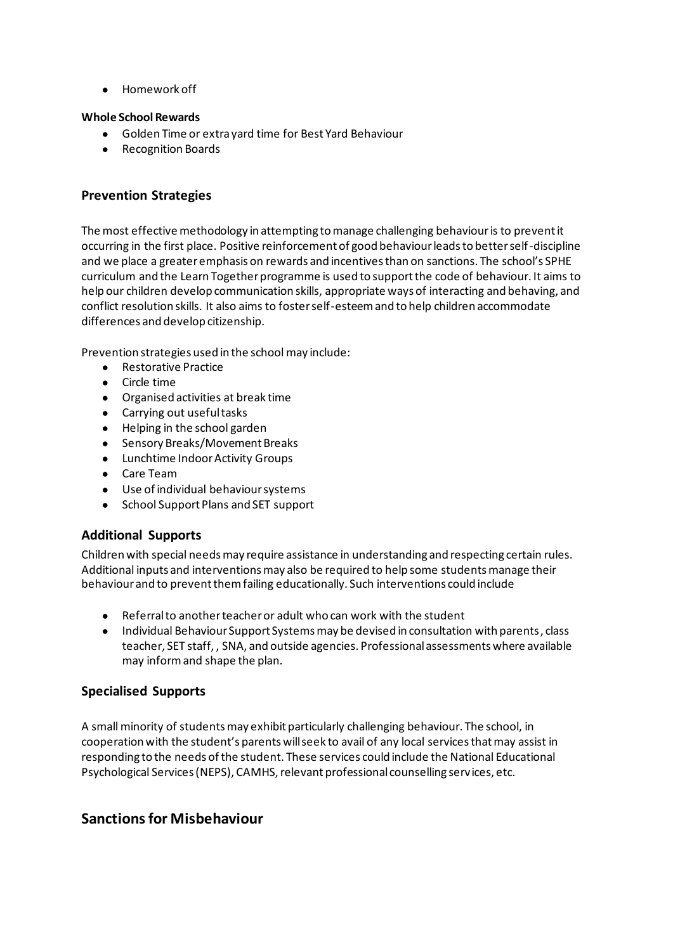● Homework off

## **Whole School Rewards**

- Golden Time or extra yard time for Best Yard Behaviour
- Recognition Boards

## **Prevention Strategies**

The most effective methodology in attempting to manage challenging behaviour is to prevent it occurring in the first place. Positive reinforcement of good behaviour leads to better self-discipline and we place a greater emphasis on rewards and incentives than on sanctions. The school's SPHE curriculum and the Learn Together programme is used to support the code of behaviour. It aims to help our children develop communication skills, appropriate ways of interacting and behaving, and conflict resolution skills. It also aims to foster self-esteem and to help children accommodate differences and develop citizenship.

Prevention strategies used in the school may include:

- Restorative Practice
- Circle time
- Organised activities at break time
- Carrying out useful tasks
- Helping in the school garden
- Sensory Breaks/Movement Breaks
- Lunchtime Indoor Activity Groups
- Care Team
- Use of individual behaviour systems
- School Support Plans and SET support

## **Additional Supports**

Children with special needs may require assistance in understanding and respecting certain rules. Additional inputs and interventions may also be required to help some students manage their behaviour and to prevent them failing educationally. Such interventions could include

- Referral to another teacher or adult who can work with the student
- Individual Behaviour Support Systems may be devised in consultation with parents, class teacher, SET staff, , SNA, and outside agencies. Professional assessments where available may inform and shape the plan.

## **Specialised Supports**

A small minority of students may exhibit particularly challenging behaviour. The school, in cooperation with the student's parents will seek to avail of any local services that may assist in responding to the needs of the student. These services could include the National Educational Psychological Services (NEPS), CAMHS, relevant professional counselling services, etc.

# **Sanctions for Misbehaviour**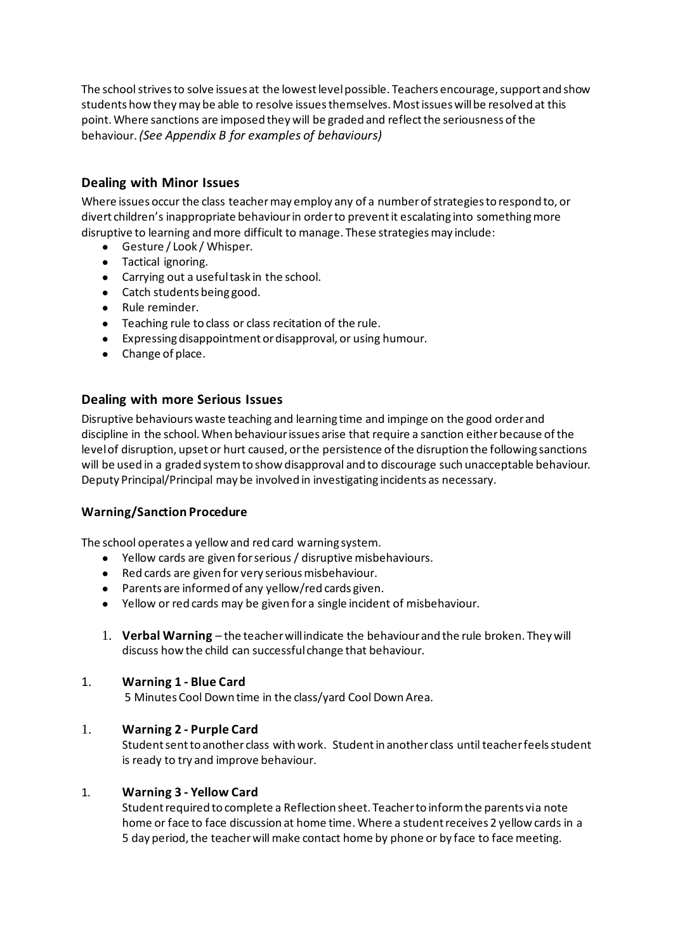The school strives to solve issues at the lowest level possible. Teachers encourage, support and show students how they may be able to resolve issues themselves. Most issues will be resolved at this point. Where sanctions are imposed they will be graded and reflect the seriousness of the behaviour. *(See Appendix B for examples of behaviours)*

## **Dealing with Minor Issues**

Where issues occur the class teacher may employ any of a number of strategies to respond to, or divert children's inappropriate behaviour in order to prevent it escalating into something more disruptive to learning and more difficult to manage. These strategies may include:

- Gesture / Look / Whisper.
- Tactical ignoring.
- Carrying out a useful task in the school.
- Catch students being good.
- Rule reminder.
- Teaching rule to class or class recitation of the rule.
- Expressing disappointment or disapproval, or using humour.
- Change of place.

## **Dealing with more Serious Issues**

Disruptive behaviours waste teaching and learning time and impinge on the good order and discipline in the school. When behaviour issues arise that require a sanction either because of the level of disruption, upset or hurt caused, or the persistence of the disruption the following sanctions will be used in a graded system to show disapproval and to discourage such unacceptable behaviour. Deputy Principal/Principal may be involved in investigating incidents as necessary.

## **Warning/Sanction Procedure**

The school operates a yellow and red card warning system.

- Yellow cards are given for serious / disruptive misbehaviours.
- Red cards are given for very serious misbehaviour.
- Parents are informed of any yellow/red cards given.
- Yellow or red cards may be given for a single incident of misbehaviour.
- 1. **Verbal Warning**  the teacher will indicate the behaviour and the rule broken. They will discuss how the child can successful change that behaviour.

## 1. **Warning 1 - Blue Card**

5 Minutes Cool Down time in the class/yard Cool Down Area.

## 1. **Warning 2 - Purple Card**

Student sent to another class with work. Student in another class until teacher feels student is ready to try and improve behaviour.

## 1. **Warning 3 - Yellow Card**

Student required to complete a Reflection sheet. Teacher to inform the parents via note home or face to face discussion at home time. Where a student receives 2 yellow cards in a 5 day period, the teacher will make contact home by phone or by face to face meeting.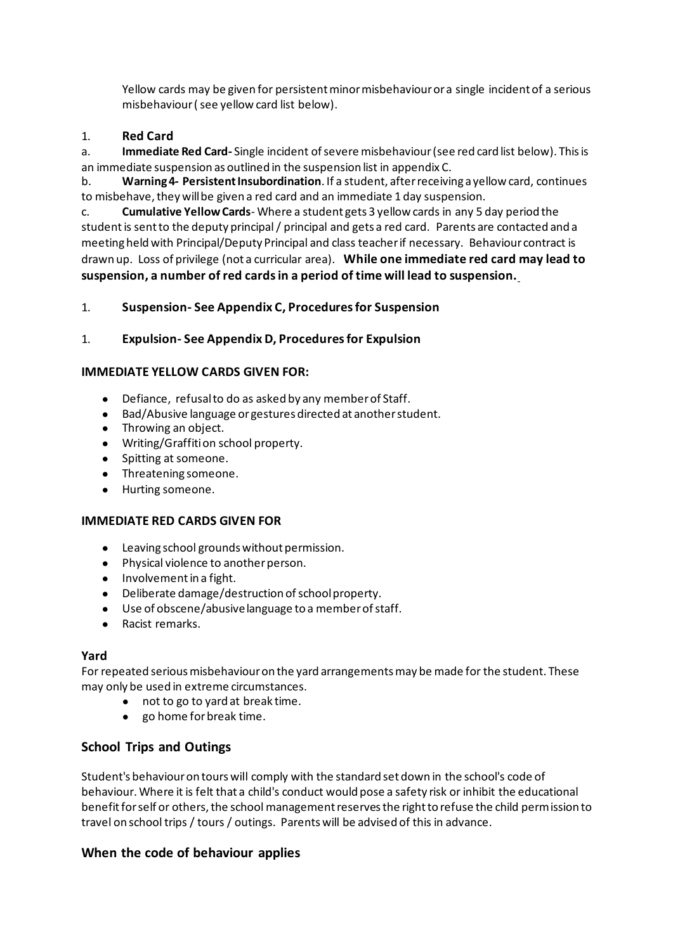Yellow cards may be given for persistent minor misbehaviour or a single incident of a serious misbehaviour ( see yellow card list below).

## 1. **Red Card**

a. **Immediate Red Card-** Single incident of severe misbehaviour (see red card list below). This is an immediate suspension as outlined in the suspension list in appendix C.

b. **Warning 4- Persistent Insubordination**. If a student, after receiving a yellow card, continues to misbehave, they will be given a red card and an immediate 1 day suspension.

c. **Cumulative Yellow Cards**- Where a student gets 3 yellow cards in any 5 day period the student is sent to the deputy principal / principal and gets a red card. Parents are contacted and a meeting held with Principal/Deputy Principal and class teacher if necessary. Behaviour contract is drawn up. Loss of privilege (not a curricular area). **While one immediate red card may lead to suspension, a number of red cards in a period of time will lead to suspension.**

## 1. **Suspension- See Appendix C, Procedures for Suspension**

## 1. **Expulsion- See Appendix D, Procedures for Expulsion**

## **IMMEDIATE YELLOW CARDS GIVEN FOR:**

- Defiance, refusal to do as asked by any member of Staff.
- Bad/Abusive language or gestures directed at another student.
- Throwing an object.
- Writing/Graffiti on school property.
- Spitting at someone.
- Threatening someone.
- Hurting someone.

#### **IMMEDIATE RED CARDS GIVEN FOR**

- Leaving school grounds without permission.
- Physical violence to another person.
- Involvement in a fight.
- Deliberate damage/destruction of school property.
- Use of obscene/abusive language to a member of staff.
- Racist remarks.

#### **Yard**

For repeated serious misbehaviour on the yard arrangements may be made for the student. These may only be used in extreme circumstances.

- not to go to yard at break time.
- go home for break time.

## **School Trips and Outings**

Student's behaviour on tours will comply with the standard set down in the school's code of behaviour. Where it is felt that a child's conduct would pose a safety risk or inhibit the educational benefit for self or others, the school management reserves the right to refuse the child permission to travel on school trips / tours / outings. Parents will be advised of this in advance.

## **When the code of behaviour applies**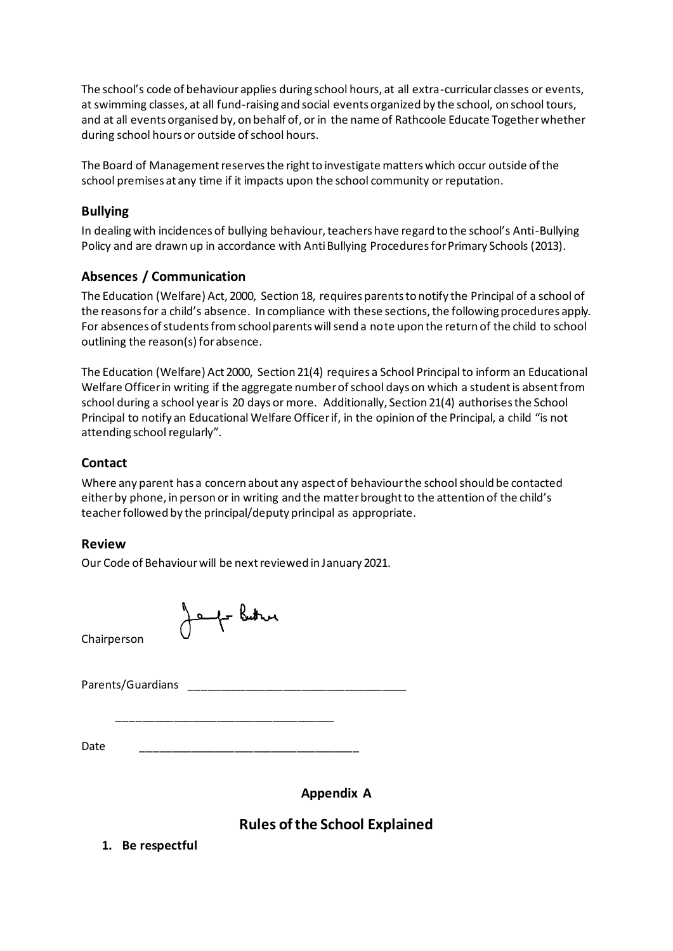The school's code of behaviour applies during school hours, at all extra-curricular classes or events, at swimming classes, at all fund-raising and social events organized by the school, on school tours, and at all events organised by, on behalf of, or in the name of Rathcoole Educate Together whether during school hours or outside of school hours.

The Board of Management reserves the right to investigate matters which occur outside of the school premises at any time if it impacts upon the school community or reputation.

## **Bullying**

In dealing with incidences of bullying behaviour, teachers have regard to the school's Anti-Bullying Policy and are drawn up in accordance with Anti Bullying Procedures for Primary Schools (2013).

# **Absences / Communication**

The Education (Welfare) Act, 2000, Section 18, requires parents to notify the Principal of a school of the reasons for a child's absence. In compliance with these sections, the following procedures apply. For absences of students from school parents will send a note upon the return of the child to school outlining the reason(s) for absence.

The Education (Welfare) Act 2000, Section 21(4) requires a School Principal to inform an Educational Welfare Officer in writing if the aggregate number of school days on which a student is absent from school during a school year is 20 days or more. Additionally, Section 21(4) authorises the School Principal to notify an Educational Welfare Officer if, in the opinion of the Principal, a child "is not attending school regularly".

# **Contact**

Where any parent has a concern about any aspect of behaviour the school should be contacted either by phone, in person or in writing and the matter brought to the attention of the child's teacher followed by the principal/deputy principal as appropriate.

## **Review**

Our Code of Behaviour will be next reviewed in January 2021.

Jeff Buther

Chairperson

Parents/Guardians \_\_\_\_\_\_\_\_\_\_\_\_\_\_\_\_\_\_\_\_\_\_\_\_\_\_\_\_\_\_\_\_\_\_\_

Date \_\_\_\_\_\_\_\_\_\_\_\_\_\_\_\_\_\_\_\_\_\_\_\_\_\_\_\_\_\_\_\_\_\_\_

\_\_\_\_\_\_\_\_\_\_\_\_\_\_\_\_\_\_\_\_\_\_\_\_\_\_\_\_\_\_\_\_\_\_\_

**Appendix A**

# **Rules of the School Explained**

**1. Be respectful**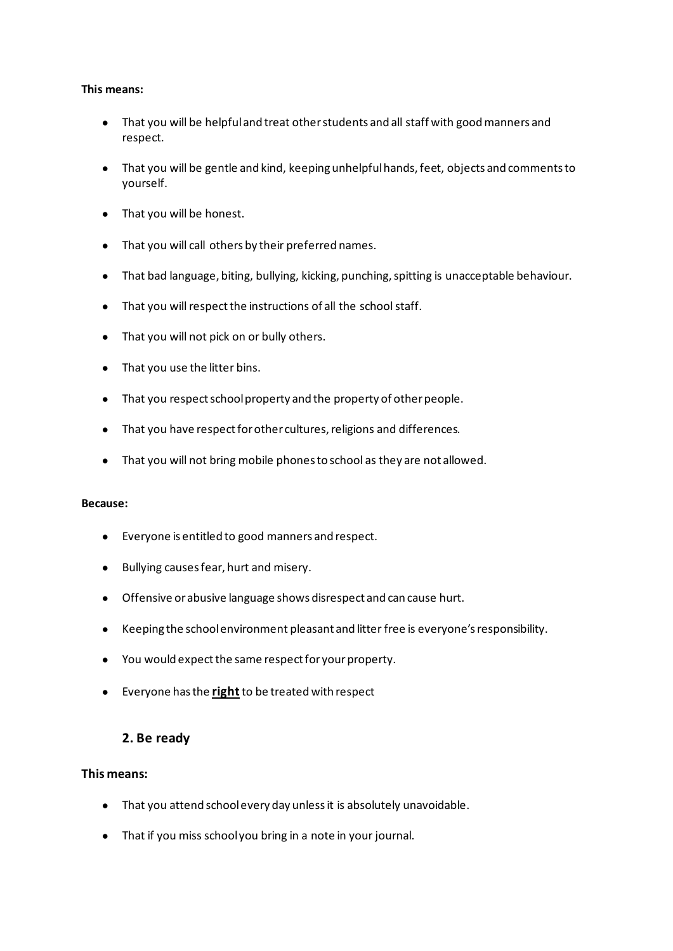#### **This means:**

- That you will be helpful and treat other students and all staff with good manners and respect.
- That you will be gentle and kind, keeping unhelpful hands, feet, objects and comments to yourself.
- That you will be honest.
- That you will call others by their preferred names.
- That bad language, biting, bullying, kicking, punching, spitting is unacceptable behaviour.
- That you will respect the instructions of all the school staff.
- That you will not pick on or bully others.
- That you use the litter bins.
- That you respect school property and the property of other people.
- That you have respect for other cultures, religions and differences.
- That you will not bring mobile phones to school as they are not allowed.

#### **Because:**

- Everyone is entitled to good manners and respect.
- Bullying causes fear, hurt and misery.
- Offensive or abusive language shows disrespect and can cause hurt.
- Keeping the school environment pleasant and litter free is everyone's responsibility.
- You would expect the same respect for your property.
- **•** Everyone has the right to be treated with respect

## **2. Be ready**

## **This means:**

- That you attend school every day unless it is absolutely unavoidable.
- That if you miss school you bring in a note in your journal.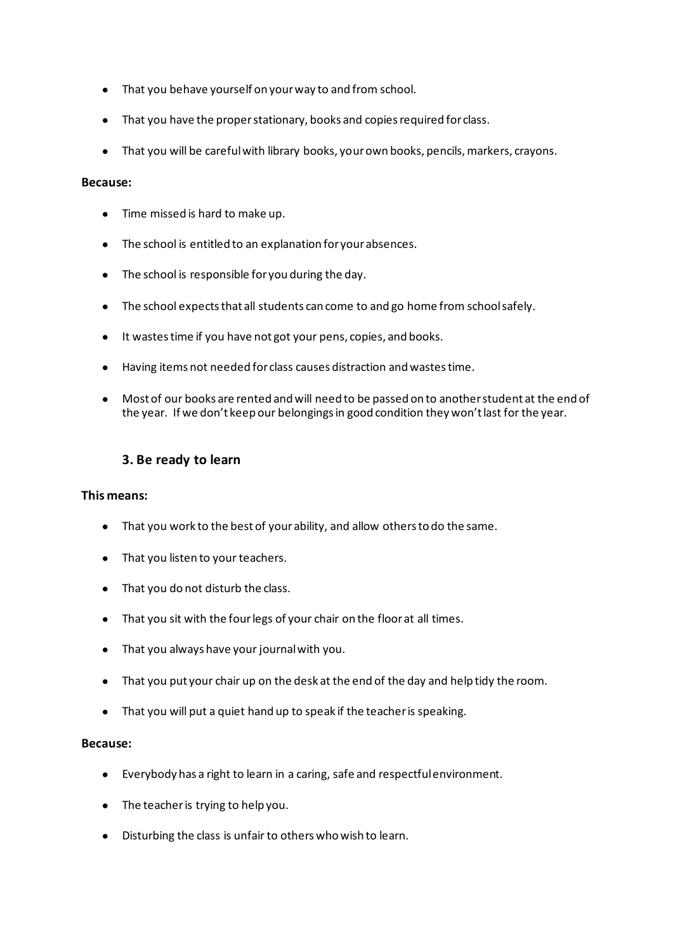- That you behave yourself on your way to and from school.
- That you have the proper stationary, books and copies required for class.
- That you will be careful with library books, your own books, pencils, markers, crayons.

#### **Because:**

- Time missed is hard to make up.
- The school is entitled to an explanation for your absences.
- The school is responsible for you during the day.
- The school expects that all students can come to and go home from school safely.
- It wastes time if you have not got your pens, copies, and books.
- Having items not needed for class causes distraction and wastes time.
- Most of our books are rented and will need to be passed on to another student at the end of the year. If we don't keep our belongings in good condition they won't last for the year.

# **3. Be ready to learn**

#### **This means:**

- That you work to the best of your ability, and allow others to do the same.
- That you listen to your teachers.
- That you do not disturb the class.
- That you sit with the four legs of your chair on the floor at all times.
- That you always have your journal with you.
- That you put your chair up on the desk at the end of the day and help tidy the room.
- That you will put a quiet hand up to speak if the teacher is speaking.

#### **Because:**

- Everybody has a right to learn in a caring, safe and respectful environment.
- The teacher is trying to help you.
- Disturbing the class is unfair to others who wish to learn.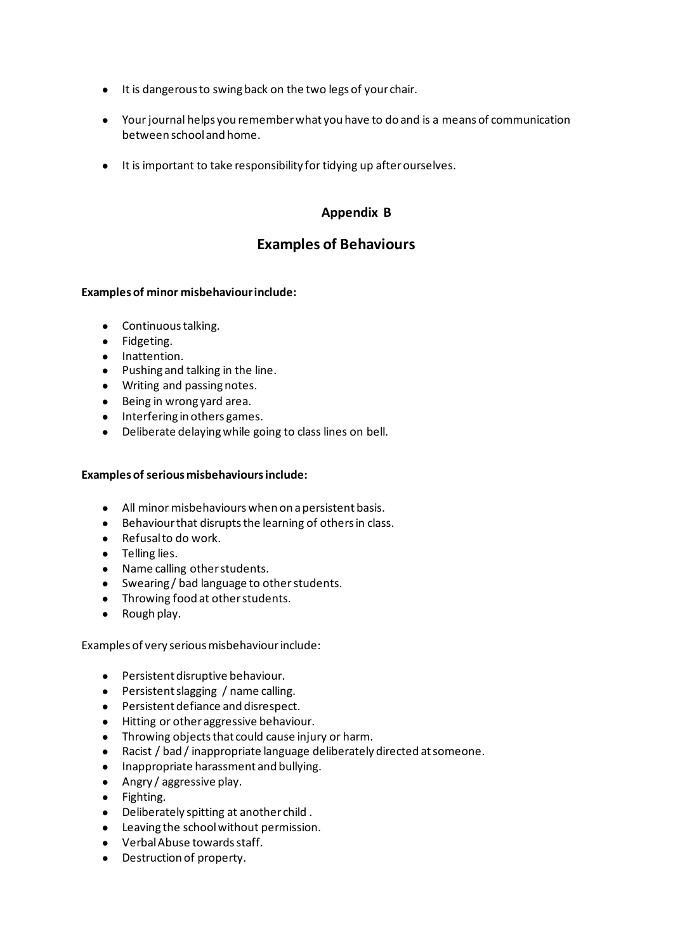- It is dangerous to swing back on the two legs of your chair.
- Your journal helps you remember what you have to do and is a means of communication between school and home.
- It is important to take responsibility for tidying up after ourselves.

# **Appendix B**

# **Examples of Behaviours**

## **Examples of minor misbehaviour include:**

- Continuous talking.
- Fidgeting.
- Inattention.
- Pushing and talking in the line.
- Writing and passing notes.
- Being in wrong yard area.
- Interfering in others games.
- Deliberate delaying while going to class lines on bell.

## **Examples of serious misbehaviours include:**

- All minor misbehaviours when on a persistent basis.
- Behaviour that disrupts the learning of others in class.
- Refusal to do work.
- Telling lies.
- Name calling other students.
- Swearing / bad language to other students.
- Throwing food at other students.
- Rough play.

Examples of very serious misbehaviour include:

- Persistent disruptive behaviour.
- Persistent slagging / name calling.
- Persistent defiance and disrespect.
- Hitting or other aggressive behaviour.
- Throwing objects that could cause injury or harm.
- Racist / bad / inappropriate language deliberately directed at someone.
- Inappropriate harassment and bullying.
- Angry / aggressive play.
- Fighting.
- Deliberately spitting at another child .
- Leaving the school without permission.
- Verbal Abuse towards staff.
- Destruction of property.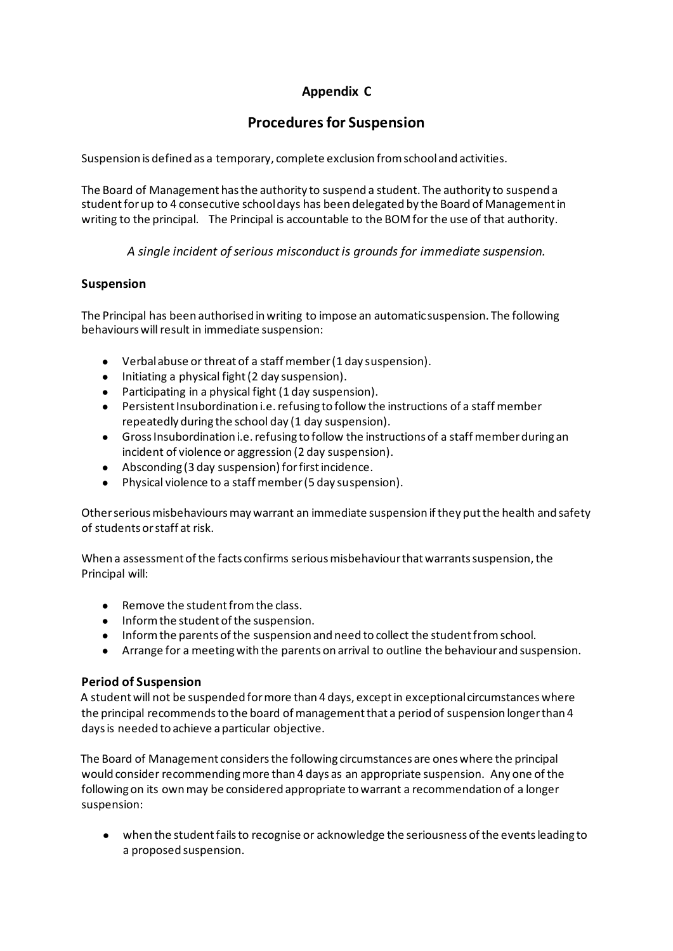# **Appendix C**

# **Procedures for Suspension**

Suspension is defined as a temporary, complete exclusion from school and activities.

The Board of Management has the authority to suspend a student. The authority to suspend a student for up to 4 consecutive school days has been delegated by the Board of Management in writing to the principal. The Principal is accountable to the BOM for the use of that authority.

*A single incident of serious misconduct is grounds for immediate suspension.*

## **Suspension**

The Principal has been authorised in writing to impose an automatic suspension. The following behaviours will result in immediate suspension:

- Verbal abuse or threat of a staff member (1 day suspension).
- Initiating a physical fight (2 day suspension).
- Participating in a physical fight (1 day suspension).
- Persistent Insubordination i.e. refusing to follow the instructions of a staff member repeatedly during the school day (1 day suspension).
- Gross Insubordination i.e. refusing to follow the instructions of a staff member during an incident of violence or aggression (2 day suspension).
- Absconding (3 day suspension) for first incidence.
- Physical violence to a staff member (5 day suspension).

Other serious misbehaviours may warrant an immediate suspension if they put the health and safety of students or staff at risk.

When a assessment of the facts confirms serious misbehaviour that warrants suspension, the Principal will:

- Remove the student from the class.
- Inform the student of the suspension.
- Inform the parents of the suspension and need to collect the student from school.
- Arrange for a meeting with the parents on arrival to outline the behaviour and suspension.

## **Period of Suspension**

A student will not be suspended for more than 4 days, except in exceptional circumstances where the principal recommends to the board of management that a period of suspension longer than 4 days is needed to achieve a particular objective.

The Board of Management considers the following circumstances are ones where the principal would consider recommending more than 4 days as an appropriate suspension. Any one of the following on its own may be considered appropriate to warrant a recommendation of a longer suspension:

● when the student fails to recognise or acknowledge the seriousness of the events leading to a proposed suspension.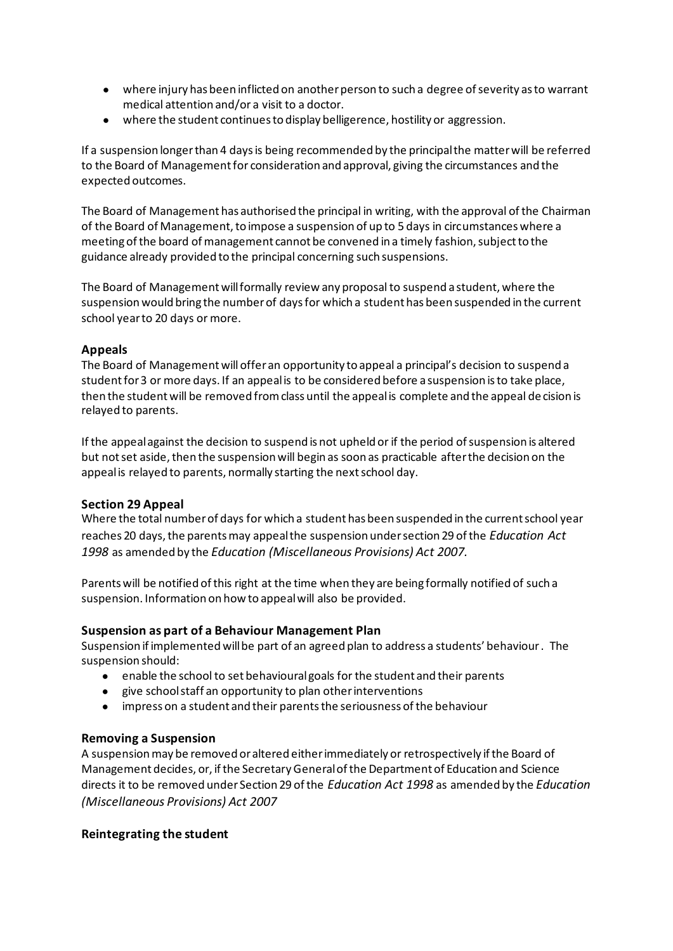- where injury has been inflicted on another person to such a degree of severity as to warrant medical attention and/or a visit to a doctor.
- where the student continues to display belligerence, hostility or aggression.

If a suspension longer than 4 days is being recommended by the principal the matter will be referred to the Board of Management for consideration and approval, giving the circumstances and the expected outcomes.

The Board of Management has authorised the principal in writing, with the approval of the Chairman of the Board of Management, to impose a suspension of up to 5 days in circumstances where a meeting of the board of management cannot be convened in a timely fashion, subject to the guidance already provided to the principal concerning such suspensions.

The Board of Management will formally review any proposal to suspend a student, where the suspension would bring the number of days for which a student has been suspended in the current school year to 20 days or more.

## **Appeals**

The Board of Management will offer an opportunity to appeal a principal's decision to suspend a student for 3 or more days. If an appeal is to be considered before a suspension is to take place, then the student will be removed from class until the appeal is complete and the appeal de cision is relayed to parents.

If the appeal against the decision to suspend is not upheld or if the period of suspension is altered but not set aside, then the suspension will begin as soon as practicable after the decision on the appeal is relayed to parents, normally starting the next school day.

## **Section 29 Appeal**

Where the total number of days for which a student has been suspended in the current school year reaches 20 days, the parents may appeal the suspension under section 29 of the *Education Act 1998* as amended by the *Education (Miscellaneous Provisions) Act 2007.*

Parents will be notified of this right at the time when they are being formally notified of such a suspension. Information on how to appeal will also be provided.

## **Suspension as part of a Behaviour Management Plan**

Suspension if implemented will be part of an agreed plan to address a students' behaviour . The suspension should:

- enable the school to set behavioural goals for the student and their parents
- give school staff an opportunity to plan other interventions
- impress on a student and their parents the seriousness of the behaviour

## **Removing a Suspension**

A suspension may be removed or altered either immediately or retrospectively if the Board of Management decides, or, if the Secretary General of the Department of Education and Science directs it to be removed under Section 29 of the *Education Act 1998* as amended by the *Education (Miscellaneous Provisions) Act 2007*

## **Reintegrating the student**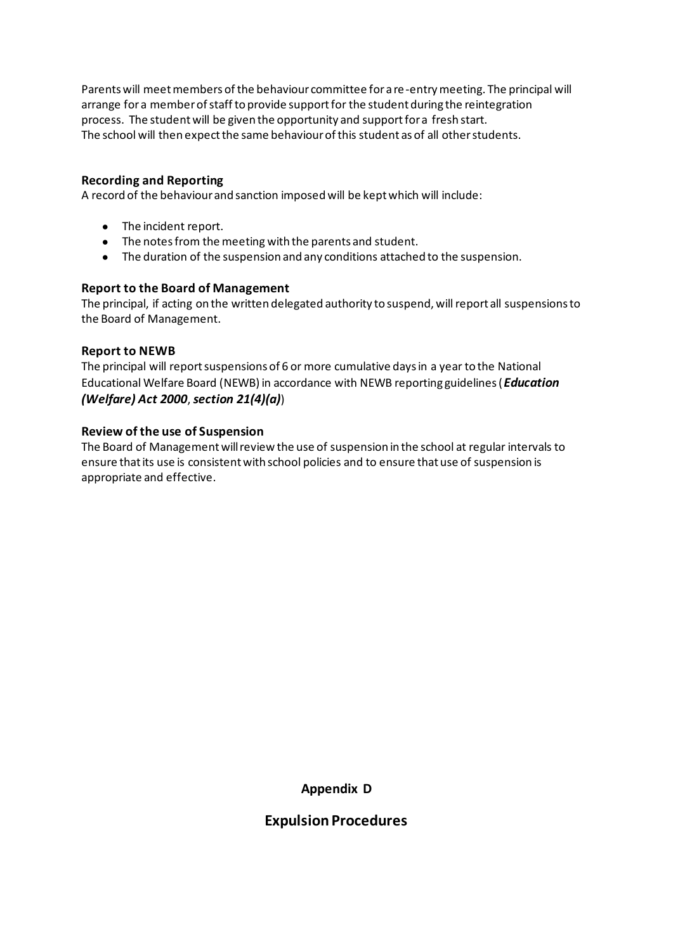Parents will meet members of the behaviour committee for a re-entry meeting. The principal will arrange for a member of staff to provide support for the student during the reintegration process. The student will be given the opportunity and support for a fresh start. The school will then expect the same behaviour of this student as of all other students.

## **Recording and Reporting**

A record of the behaviour and sanction imposed will be kept which will include:

- The incident report.
- The notes from the meeting with the parents and student.
- The duration of the suspension and any conditions attached to the suspension.

#### **Report to the Board of Management**

The principal, if acting on the written delegated authority to suspend, will report all suspensions to the Board of Management.

#### **Report to NEWB**

The principal will report suspensions of 6 or more cumulative days in a year to the National Educational Welfare Board (NEWB) in accordance with NEWB reporting guidelines (*Education (Welfare) Act 2000*, *section 21(4)(a)*)

#### **Review of the use of Suspension**

The Board of Management will review the use of suspension in the school at regular intervals to ensure that its use is consistent with school policies and to ensure that use of suspension is appropriate and effective.

**Appendix D**

## **Expulsion Procedures**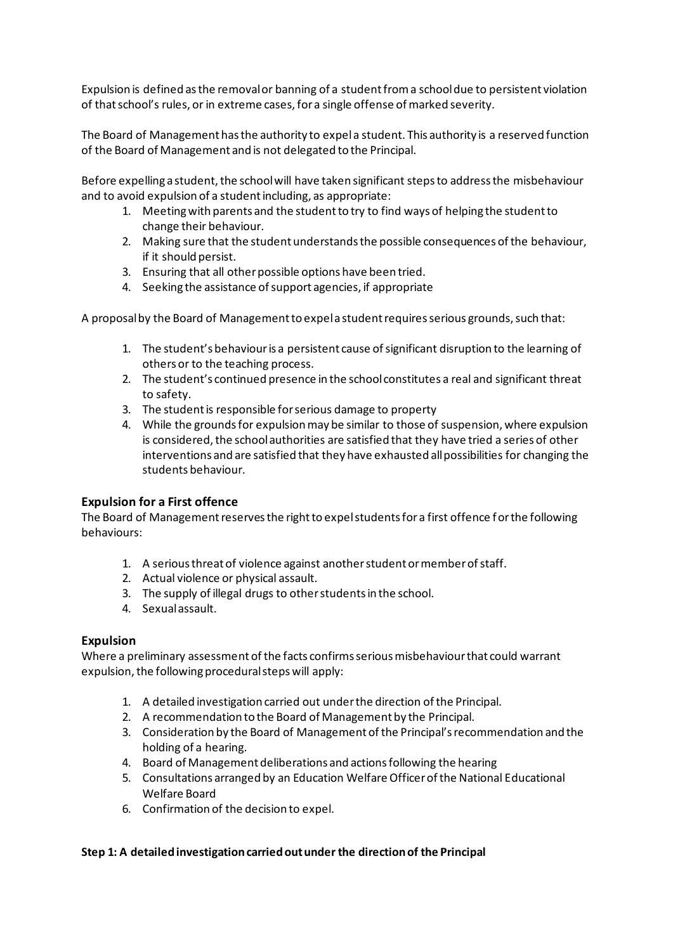Expulsion is defined as the removal or banning of a student from a school due to persistent violation of that school's rules, or in extreme cases, for a single offense of marked severity.

The Board of Management has the authority to expel a student. This authority is a reserved function of the Board of Management and is not delegated to the Principal.

Before expelling a student, the school will have taken significant steps to address the misbehaviour and to avoid expulsion of a student including, as appropriate:

- 1. Meeting with parents and the student to try to find ways of helping the student to change their behaviour.
- 2. Making sure that the student understands the possible consequences of the behaviour, if it should persist.
- 3. Ensuring that all other possible options have been tried.
- 4. Seeking the assistance of support agencies, if appropriate

A proposal by the Board of Management to expel a student requires serious grounds, such that:

- 1. The student's behaviour is a persistent cause of significant disruption to the learning of others or to the teaching process.
- 2. The student's continued presence in the school constitutes a real and significant threat to safety.
- 3. The student is responsible for serious damage to property
- 4. While the grounds for expulsion may be similar to those of suspension, where expulsion is considered, the school authorities are satisfied that they have tried a series of other interventions and are satisfied that they have exhausted all possibilities for changing the students behaviour.

#### **Expulsion for a First offence**

The Board of Management reserves the right to expel students for a first offence for the following behaviours:

- 1. A serious threat of violence against another student or member of staff.
- 2. Actual violence or physical assault.
- 3. The supply of illegal drugs to other students in the school.
- 4. Sexual assault.

#### **Expulsion**

Where a preliminary assessment of the facts confirms serious misbehaviour that could warrant expulsion, the following procedural steps will apply:

- 1. A detailed investigation carried out under the direction of the Principal.
- 2. A recommendation to the Board of Management by the Principal.
- 3. Consideration by the Board of Management of the Principal's recommendation and the holding of a hearing.
- 4. Board of Management deliberations and actions following the hearing
- 5. Consultations arranged by an Education Welfare Officer of the National Educational Welfare Board
- 6. Confirmation of the decision to expel.

#### **Step 1: A detailed investigation carried out under the direction of the Principal**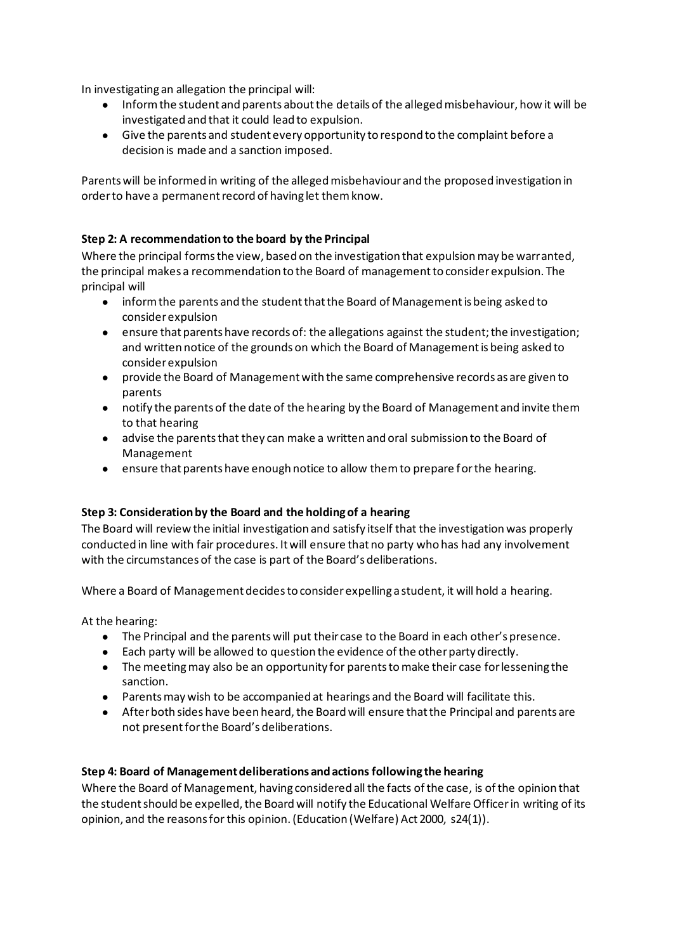In investigating an allegation the principal will:

- Inform the student and parents about the details of the alleged misbehaviour, how it will be investigated and that it could lead to expulsion.
- Give the parents and student every opportunity to respond to the complaint before a decision is made and a sanction imposed.

Parents will be informed in writing of the alleged misbehaviour and the proposed investigation in order to have a permanent record of having let them know.

## **Step 2: A recommendation to the board by the Principal**

Where the principal forms the view, based on the investigation that expulsion may be warranted, the principal makes a recommendation to the Board of management to consider expulsion. The principal will

- inform the parents and the student that the Board of Management is being asked to consider expulsion
- ensure that parents have records of: the allegations against the student; the investigation; and written notice of the grounds on which the Board of Management is being asked to consider expulsion
- provide the Board of Management with the same comprehensive records as are given to parents
- notify the parents of the date of the hearing by the Board of Management and invite them to that hearing
- advise the parents that they can make a written and oral submission to the Board of Management
- ensure that parents have enough notice to allow them to prepare for the hearing.

## **Step 3: Consideration by the Board and the holding of a hearing**

The Board will review the initial investigation and satisfy itself that the investigation was properly conducted in line with fair procedures. It will ensure that no party who has had any involvement with the circumstances of the case is part of the Board's deliberations.

Where a Board of Management decides to consider expelling a student, it will hold a hearing.

At the hearing:

- The Principal and the parents will put their case to the Board in each other's presence.
- Each party will be allowed to question the evidence of the other party directly.
- The meeting may also be an opportunity for parents to make their case for lessening the sanction.
- Parents may wish to be accompanied at hearings and the Board will facilitate this.
- After both sides have been heard, the Board will ensure that the Principal and parents are not present for the Board's deliberations.

## **Step 4: Board of Management deliberations and actions following the hearing**

Where the Board of Management, having considered all the facts of the case, is of the opinion that the student should be expelled, the Board will notify the Educational Welfare Officer in writing of its opinion, and the reasons for this opinion. (Education (Welfare) Act 2000, s24(1)).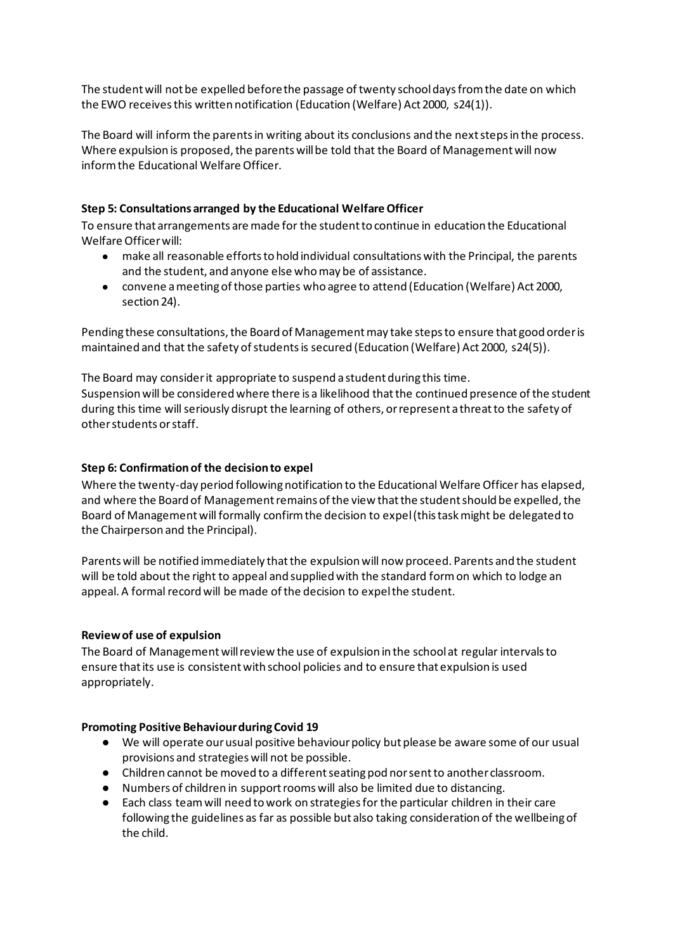The student will not be expelled before the passage of twenty school days from the date on which the EWO receives this written notification (Education (Welfare) Act 2000, s24(1)).

The Board will inform the parents in writing about its conclusions and the next steps in the process. Where expulsion is proposed, the parents will be told that the Board of Management will now inform the Educational Welfare Officer.

## **Step 5: Consultations arranged by the Educational Welfare Officer**

To ensure that arrangements are made for the student to continue in education the Educational Welfare Officer will:

- make all reasonable efforts to hold individual consultations with the Principal, the parents and the student, and anyone else who may be of assistance.
- convene a meeting of those parties who agree to attend (Education (Welfare) Act 2000, section 24).

Pending these consultations, the Board of Management may take steps to ensure that good order is maintained and that the safety of students is secured (Education (Welfare) Act 2000, s24(5)).

The Board may consider it appropriate to suspend a student during this time. Suspension will be considered where there is a likelihood that the continued presence of the student during this time will seriously disrupt the learning of others, or represent a threat to the safety of other students or staff.

## **Step 6: Confirmation of the decision to expel**

Where the twenty-day period following notification to the Educational Welfare Officer has elapsed, and where the Board of Management remains of the view that the student should be expelled, the Board of Management will formally confirm the decision to expel (this task might be delegated to the Chairperson and the Principal).

Parents will be notified immediately that the expulsion will now proceed. Parents and the student will be told about the right to appeal and supplied with the standard form on which to lodge an appeal. A formal record will be made of the decision to expel the student.

#### **Review of use of expulsion**

The Board of Management will review the use of expulsion in the school at regular intervals to ensure that its use is consistent with school policies and to ensure that expulsion is used appropriately.

#### **Promoting Positive Behaviour during Covid 19**

- We will operate our usual positive behaviour policy but please be aware some of our usual provisions and strategies will not be possible.
- Children cannot be moved to a different seating pod nor sent to another classroom.
- Numbers of children in support rooms will also be limited due to distancing.
- Each class team will need to work on strategies for the particular children in their care following the guidelines as far as possible but also taking consideration of the wellbeing of the child.